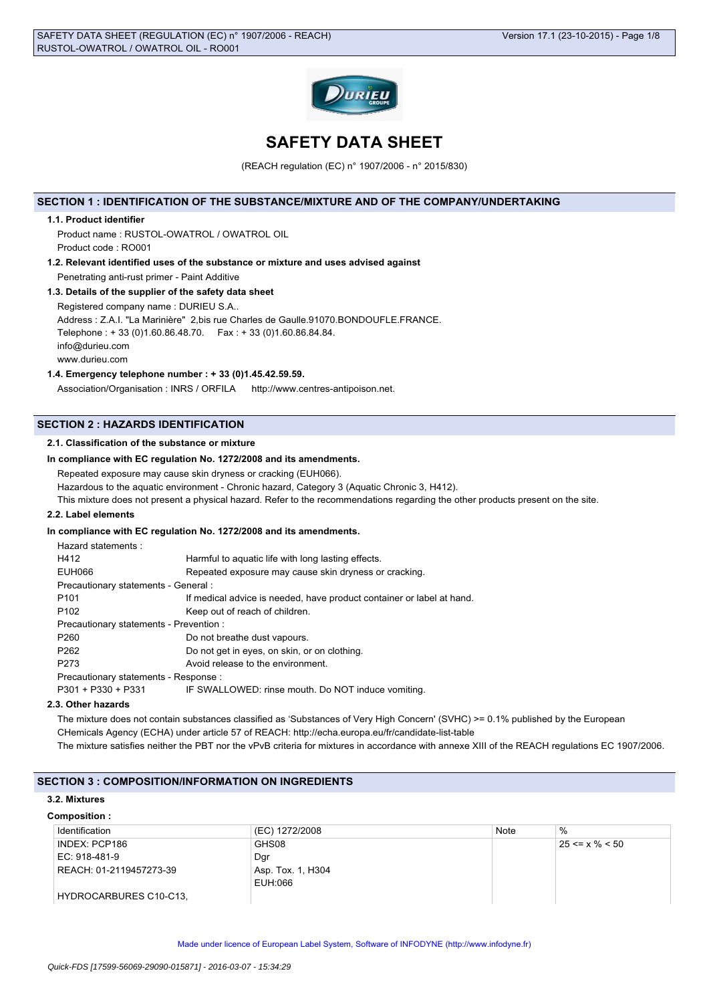

# **SAFETY DATA SHEET**

(REACH regulation (EC) n° 1907/2006 - n° 2015/830)

### **SECTION 1 : IDENTIFICATION OF THE SUBSTANCE/MIXTURE AND OF THE COMPANY/UNDERTAKING**

### **1.1. Product identifier**

Product name : RUSTOL-OWATROL / OWATROL OIL Product code : RO001

- **1.2. Relevant identified uses of the substance or mixture and uses advised against** Penetrating anti-rust primer - Paint Additive
- **1.3. Details of the supplier of the safety data sheet** Registered company name : DURIEU S.A.. Address : Z.A.I. "La Marinière" 2,bis rue Charles de Gaulle.91070.BONDOUFLE.FRANCE. Telephone : + 33 (0)1.60.86.48.70. Fax : + 33 (0)1.60.86.84.84. info@durieu.com www.durieu.com

### **1.4. Emergency telephone number : + 33 (0)1.45.42.59.59.**

Association/Organisation : INRS / ORFILA http://www.centres-antipoison.net.

### **SECTION 2 : HAZARDS IDENTIFICATION**

### **2.1. Classification of the substance or mixture**

# **In compliance with EC regulation No. 1272/2008 and its amendments.**

Repeated exposure may cause skin dryness or cracking (EUH066).

Hazardous to the aquatic environment - Chronic hazard, Category 3 (Aquatic Chronic 3, H412).

This mixture does not present a physical hazard. Refer to the recommendations regarding the other products present on the site.

#### **2.2. Label elements**

# **In compliance with EC regulation No. 1272/2008 and its amendments.**

| Hazard statements:                      |                                                                       |  |
|-----------------------------------------|-----------------------------------------------------------------------|--|
| H412                                    | Harmful to aquatic life with long lasting effects.                    |  |
| EUH066                                  | Repeated exposure may cause skin dryness or cracking.                 |  |
| Precautionary statements - General :    |                                                                       |  |
| P <sub>101</sub>                        | If medical advice is needed, have product container or label at hand. |  |
| P <sub>102</sub>                        | Keep out of reach of children.                                        |  |
| Precautionary statements - Prevention : |                                                                       |  |
| P <sub>260</sub>                        | Do not breathe dust vapours.                                          |  |
| P <sub>262</sub>                        | Do not get in eyes, on skin, or on clothing.                          |  |
| P <sub>273</sub>                        | Avoid release to the environment.                                     |  |
| Precautionary statements - Response :   |                                                                       |  |
| $P301 + P330 + P331$                    | IF SWALLOWED: rinse mouth. Do NOT induce vomiting.                    |  |
|                                         |                                                                       |  |

### **2.3. Other hazards**

The mixture does not contain substances classified as 'Substances of Very High Concern' (SVHC) >= 0.1% published by the European CHemicals Agency (ECHA) under article 57 of REACH: http://echa.europa.eu/fr/candidate-list-table The mixture satisfies neither the PBT nor the vPvB criteria for mixtures in accordance with annexe XIII of the REACH regulations EC 1907/2006.

# **SECTION 3 : COMPOSITION/INFORMATION ON INGREDIENTS**

### **3.2. Mixtures**

#### **Composition :**

| Identification          | (EC) 1272/2008    | Note | $\%$                 |
|-------------------------|-------------------|------|----------------------|
| INDEX: PCP186           | GHS08             |      | $25 \le x \% \le 50$ |
| EC: 918-481-9           | Dgr               |      |                      |
| REACH: 01-2119457273-39 | Asp. Tox. 1, H304 |      |                      |
|                         | EUH:066           |      |                      |
| HYDROCARBURES C10-C13,  |                   |      |                      |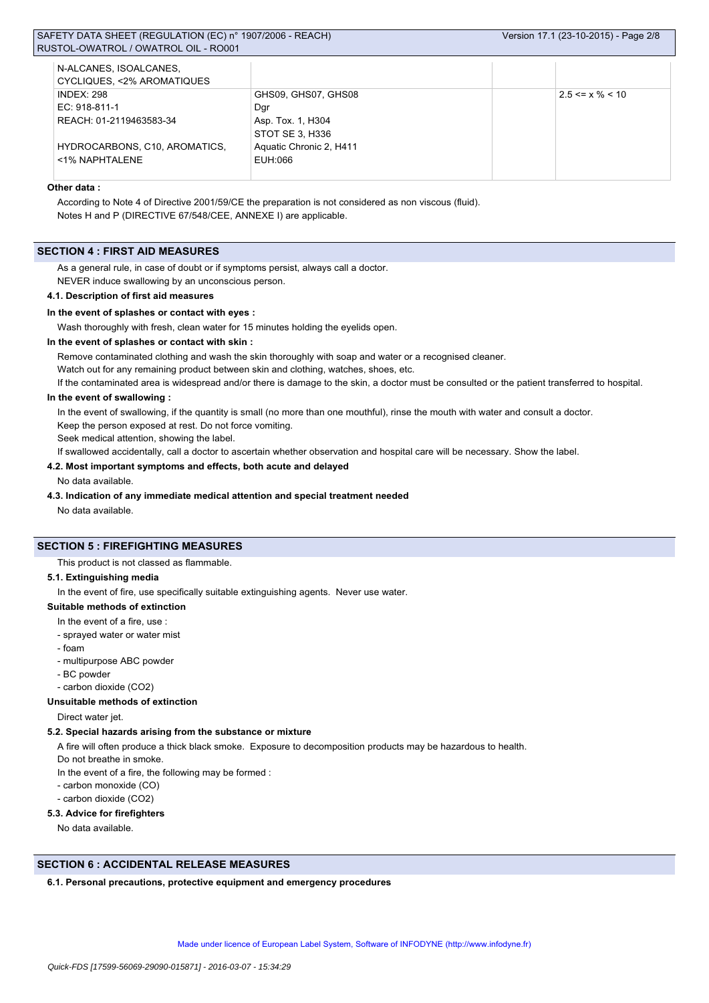| N-ALCANES, ISOALCANES,        |                         |                       |
|-------------------------------|-------------------------|-----------------------|
| CYCLIQUES, <2% AROMATIQUES    |                         |                       |
| <b>INDEX: 298</b>             | GHS09, GHS07, GHS08     | $2.5 \le x \% \le 10$ |
| EC: 918-811-1                 | Dgr                     |                       |
| REACH: 01-2119463583-34       | Asp. Tox. 1, H304       |                       |
|                               | STOT SE 3. H336         |                       |
| HYDROCARBONS, C10, AROMATICS, | Aquatic Chronic 2, H411 |                       |
| <1% NAPHTALENE                | EUH:066                 |                       |
|                               |                         |                       |

# **Other data :**

According to Note 4 of Directive 2001/59/CE the preparation is not considered as non viscous (fluid). Notes H and P (DIRECTIVE 67/548/CEE, ANNEXE I) are applicable.

### **SECTION 4 : FIRST AID MEASURES**

As a general rule, in case of doubt or if symptoms persist, always call a doctor. NEVER induce swallowing by an unconscious person.

#### **4.1. Description of first aid measures**

#### **In the event of splashes or contact with eyes :**

Wash thoroughly with fresh, clean water for 15 minutes holding the eyelids open.

### **In the event of splashes or contact with skin :**

Remove contaminated clothing and wash the skin thoroughly with soap and water or a recognised cleaner.

Watch out for any remaining product between skin and clothing, watches, shoes, etc.

If the contaminated area is widespread and/or there is damage to the skin, a doctor must be consulted or the patient transferred to hospital.

### **In the event of swallowing :**

In the event of swallowing, if the quantity is small (no more than one mouthful), rinse the mouth with water and consult a doctor.

Keep the person exposed at rest. Do not force vomiting.

Seek medical attention, showing the label.

If swallowed accidentally, call a doctor to ascertain whether observation and hospital care will be necessary. Show the label.

### **4.2. Most important symptoms and effects, both acute and delayed**

No data available.

#### **4.3. Indication of any immediate medical attention and special treatment needed**

No data available.

#### **SECTION 5 : FIREFIGHTING MEASURES**

This product is not classed as flammable.

### **5.1. Extinguishing media**

In the event of fire, use specifically suitable extinguishing agents. Never use water.

### **Suitable methods of extinction**

- In the event of a fire, use :
- sprayed water or water mist
- foam
- multipurpose ABC powder
- BC powder
- carbon dioxide (CO2)

### **Unsuitable methods of extinction**

Direct water jet.

#### **5.2. Special hazards arising from the substance or mixture**

A fire will often produce a thick black smoke. Exposure to decomposition products may be hazardous to health.

Do not breathe in smoke.

In the event of a fire, the following may be formed :

- carbon monoxide (CO)
- carbon dioxide (CO2)

### **5.3. Advice for firefighters**

No data available.

### **SECTION 6 : ACCIDENTAL RELEASE MEASURES**

### **6.1. Personal precautions, protective equipment and emergency procedures**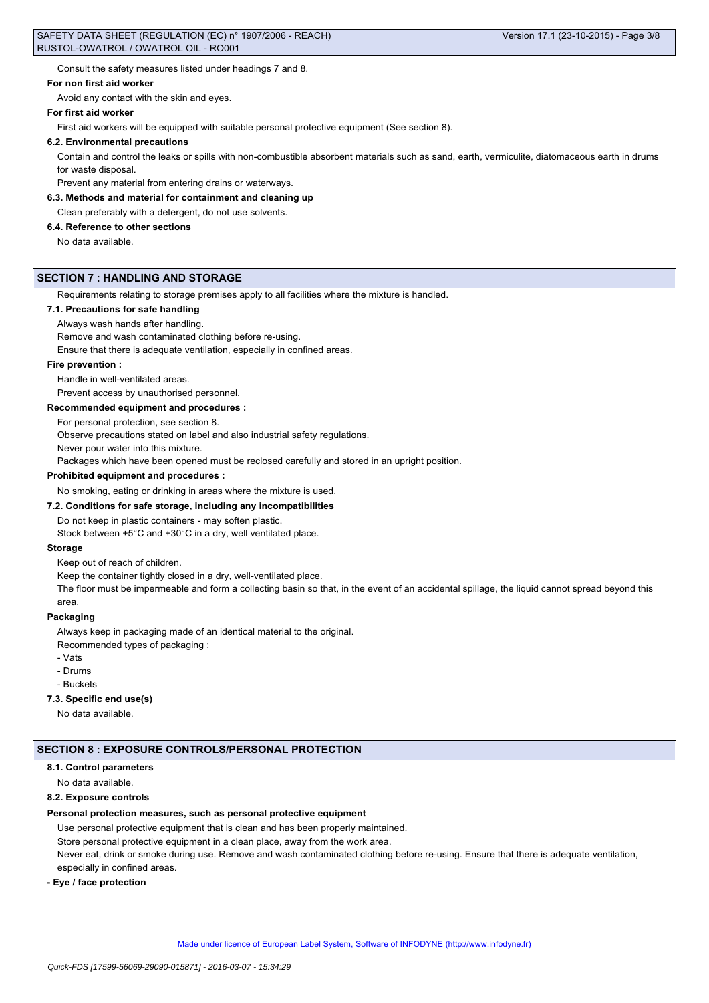Consult the safety measures listed under headings 7 and 8.

### **For non first aid worker**

Avoid any contact with the skin and eyes.

#### **For first aid worker**

First aid workers will be equipped with suitable personal protective equipment (See section 8).

#### **6.2. Environmental precautions**

Contain and control the leaks or spills with non-combustible absorbent materials such as sand, earth, vermiculite, diatomaceous earth in drums for waste disposal.

Prevent any material from entering drains or waterways.

#### **6.3. Methods and material for containment and cleaning up**

Clean preferably with a detergent, do not use solvents.

### **6.4. Reference to other sections**

No data available.

# **SECTION 7 : HANDLING AND STORAGE**

Requirements relating to storage premises apply to all facilities where the mixture is handled.

### **7.1. Precautions for safe handling**

Always wash hands after handling.

Remove and wash contaminated clothing before re-using.

Ensure that there is adequate ventilation, especially in confined areas.

#### **Fire prevention :**

Handle in well-ventilated areas.

Prevent access by unauthorised personnel.

#### **Recommended equipment and procedures :**

For personal protection, see section 8.

Observe precautions stated on label and also industrial safety regulations.

Never pour water into this mixture.

Packages which have been opened must be reclosed carefully and stored in an upright position.

#### **Prohibited equipment and procedures :**

No smoking, eating or drinking in areas where the mixture is used.

#### **7.2. Conditions for safe storage, including any incompatibilities**

Do not keep in plastic containers - may soften plastic.

Stock between +5°C and +30°C in a dry, well ventilated place.

#### **Storage**

Keep out of reach of children.

Keep the container tightly closed in a dry, well-ventilated place.

The floor must be impermeable and form a collecting basin so that, in the event of an accidental spillage, the liquid cannot spread beyond this area.

### **Packaging**

Always keep in packaging made of an identical material to the original.

Recommended types of packaging :

- Vats
- Drums
- Buckets

# **7.3. Specific end use(s)**

No data available.

#### **SECTION 8 : EXPOSURE CONTROLS/PERSONAL PROTECTION**

### **8.1. Control parameters**

No data available.

# **8.2. Exposure controls**

### **Personal protection measures, such as personal protective equipment**

Use personal protective equipment that is clean and has been properly maintained.

Store personal protective equipment in a clean place, away from the work area.

Never eat, drink or smoke during use. Remove and wash contaminated clothing before re-using. Ensure that there is adequate ventilation, especially in confined areas.

#### **- Eye / face protection**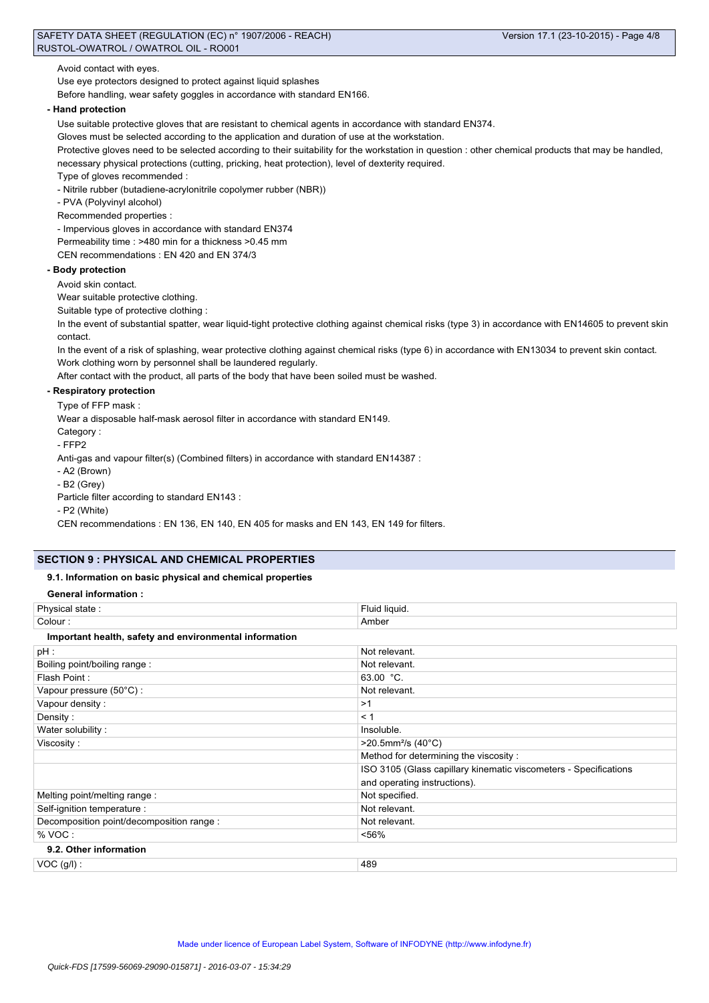Avoid contact with eyes.

Use eye protectors designed to protect against liquid splashes

Before handling, wear safety goggles in accordance with standard EN166.

# **- Hand protection**

Use suitable protective gloves that are resistant to chemical agents in accordance with standard EN374.

Gloves must be selected according to the application and duration of use at the workstation.

Protective gloves need to be selected according to their suitability for the workstation in question : other chemical products that may be handled, necessary physical protections (cutting, pricking, heat protection), level of dexterity required.

Type of gloves recommended :

- Nitrile rubber (butadiene-acrylonitrile copolymer rubber (NBR))

- PVA (Polyvinyl alcohol)
- Recommended properties :

- Impervious gloves in accordance with standard EN374

Permeability time : >480 min for a thickness >0.45 mm

CEN recommendations : EN 420 and EN 374/3

# **- Body protection**

Avoid skin contact.

Wear suitable protective clothing.

Suitable type of protective clothing :

In the event of substantial spatter, wear liquid-tight protective clothing against chemical risks (type 3) in accordance with EN14605 to prevent skin contact.

In the event of a risk of splashing, wear protective clothing against chemical risks (type 6) in accordance with EN13034 to prevent skin contact. Work clothing worn by personnel shall be laundered regularly.

After contact with the product, all parts of the body that have been soiled must be washed.

# **- Respiratory protection**

Type of FFP mask :

Wear a disposable half-mask aerosol filter in accordance with standard EN149.

Category :

- FFP2

Anti-gas and vapour filter(s) (Combined filters) in accordance with standard EN14387 :

- A2 (Brown)

- B2 (Grey)

Particle filter according to standard EN143 :

- P2 (White)

CEN recommendations : EN 136, EN 140, EN 405 for masks and EN 143, EN 149 for filters.

# **SECTION 9 : PHYSICAL AND CHEMICAL PROPERTIES**

### **9.1. Information on basic physical and chemical properties**

# **General information :**

| Physical state:                                        | Fluid liquid.                                                    |  |  |  |
|--------------------------------------------------------|------------------------------------------------------------------|--|--|--|
| Colour:                                                | Amber                                                            |  |  |  |
| Important health, safety and environmental information |                                                                  |  |  |  |
| pH :                                                   | Not relevant.                                                    |  |  |  |
| Boiling point/boiling range:                           | Not relevant.                                                    |  |  |  |
| Flash Point:                                           | $63.00 °C$ .                                                     |  |  |  |
| Vapour pressure (50°C) :                               | Not relevant.                                                    |  |  |  |
| Vapour density:                                        | >1                                                               |  |  |  |
| Density:                                               | < 1                                                              |  |  |  |
| Water solubility:                                      | Insoluble.                                                       |  |  |  |
| Viscosity:                                             | $>20.5$ mm <sup>2</sup> /s (40°C)                                |  |  |  |
|                                                        | Method for determining the viscosity:                            |  |  |  |
|                                                        | ISO 3105 (Glass capillary kinematic viscometers - Specifications |  |  |  |
|                                                        | and operating instructions).                                     |  |  |  |
| Melting point/melting range:                           | Not specified.                                                   |  |  |  |
| Self-ignition temperature :                            | Not relevant.                                                    |  |  |  |
| Decomposition point/decomposition range :              | Not relevant.                                                    |  |  |  |
| % VOC:                                                 | < 56%                                                            |  |  |  |
| 9.2. Other information                                 |                                                                  |  |  |  |
| $VOC$ (g/l) :                                          | 489                                                              |  |  |  |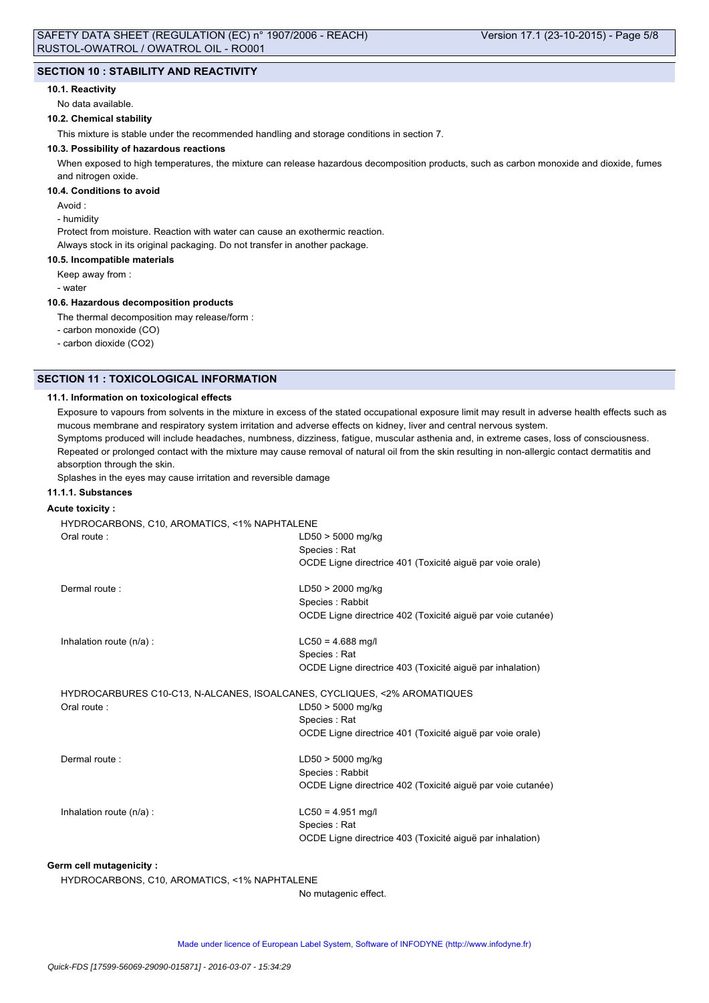### **SECTION 10 : STABILITY AND REACTIVITY**

# **10.1. Reactivity**

No data available.

# **10.2. Chemical stability**

This mixture is stable under the recommended handling and storage conditions in section 7.

# **10.3. Possibility of hazardous reactions**

When exposed to high temperatures, the mixture can release hazardous decomposition products, such as carbon monoxide and dioxide, fumes and nitrogen oxide.

### **10.4. Conditions to avoid**

Avoid :

- humidity

Protect from moisture. Reaction with water can cause an exothermic reaction. Always stock in its original packaging. Do not transfer in another package.

### **10.5. Incompatible materials**

Keep away from :

- water

### **10.6. Hazardous decomposition products**

The thermal decomposition may release/form :

- carbon monoxide (CO)

- carbon dioxide (CO2)

### **SECTION 11 : TOXICOLOGICAL INFORMATION**

### **11.1. Information on toxicological effects**

Exposure to vapours from solvents in the mixture in excess of the stated occupational exposure limit may result in adverse health effects such as mucous membrane and respiratory system irritation and adverse effects on kidney, liver and central nervous system. Symptoms produced will include headaches, numbness, dizziness, fatigue, muscular asthenia and, in extreme cases, loss of consciousness. Repeated or prolonged contact with the mixture may cause removal of natural oil from the skin resulting in non-allergic contact dermatitis and absorption through the skin.

Splashes in the eyes may cause irritation and reversible damage

# **11.1.1. Substances**

### **Acute toxicity :**

HYDROCARBONS, C10, AROMATICS, <1% NAPHTALENE Oral route : LD50 > 5000 mg/kg Species : Rat OCDE Ligne directrice 401 (Toxicité aiguë par voie orale) Dermal route : LD50 > 2000 mg/kg Species : Rabbit OCDE Ligne directrice 402 (Toxicité aiguë par voie cutanée) Inhalation route  $(n/a)$ : LC50 = 4.688 mg/l Species : Rat OCDE Ligne directrice 403 (Toxicité aiguë par inhalation) HYDROCARBURES C10-C13, N-ALCANES, ISOALCANES, CYCLIQUES, <2% AROMATIQUES Oral route : LD50 > 5000 mg/kg Species : Rat OCDE Ligne directrice 401 (Toxicité aiguë par voie orale) Dermal route : LD50 > 5000 mg/kg Species : Rabbit OCDE Ligne directrice 402 (Toxicité aiguë par voie cutanée) Inhalation route  $(n/a)$ : LC50 = 4.951 mg/l Species : Rat OCDE Ligne directrice 403 (Toxicité aiguë par inhalation) **Germ cell mutagenicity :**

HYDROCARBONS, C10, AROMATICS, <1% NAPHTALENE

No mutagenic effect.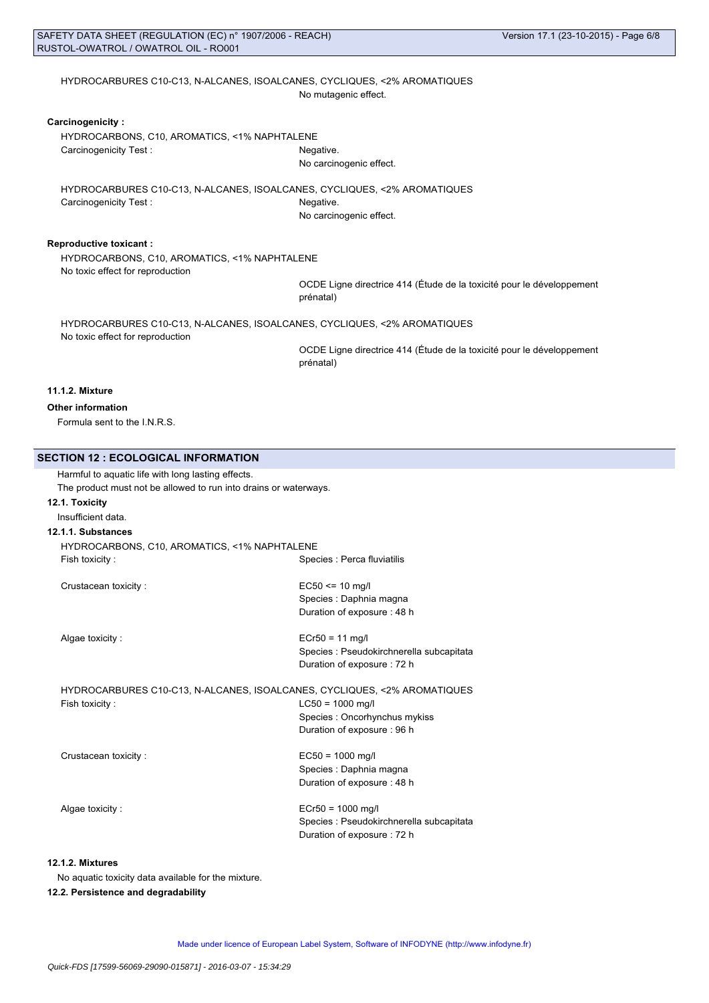### HYDROCARBURES C10-C13, N-ALCANES, ISOALCANES, CYCLIQUES, <2% AROMATIQUES No mutagenic effect.

### **Carcinogenicity :**

HYDROCARBONS, C10, AROMATICS, <1% NAPHTALENE Carcinogenicity Test : Negative.

No carcinogenic effect.

HYDROCARBURES C10-C13, N-ALCANES, ISOALCANES, CYCLIQUES, <2% AROMATIQUES Carcinogenicity Test : Negative. No carcinogenic effect.

### **Reproductive toxicant :**

HYDROCARBONS, C10, AROMATICS, <1% NAPHTALENE No toxic effect for reproduction

OCDE Ligne directrice 414 (Étude de la toxicité pour le développement prénatal)

HYDROCARBURES C10-C13, N-ALCANES, ISOALCANES, CYCLIQUES, <2% AROMATIQUES No toxic effect for reproduction

OCDE Ligne directrice 414 (Étude de la toxicité pour le développement prénatal)

# **11.1.2. Mixture**

# **Other information**

Formula sent to the I.N.R.S.

# **SECTION 12 : ECOLOGICAL INFORMATION**

| Harmful to aquatic life with long lasting effects.                       |                                          |
|--------------------------------------------------------------------------|------------------------------------------|
| The product must not be allowed to run into drains or waterways.         |                                          |
| 12.1. Toxicity                                                           |                                          |
| Insufficient data.                                                       |                                          |
| 12.1.1. Substances                                                       |                                          |
| HYDROCARBONS, C10, AROMATICS, <1% NAPHTALENE                             |                                          |
| Fish toxicity:                                                           | Species : Perca fluviatilis              |
| Crustacean toxicity:                                                     | $EC50 \le 10$ mg/l                       |
|                                                                          | Species : Daphnia magna                  |
|                                                                          | Duration of exposure: 48 h               |
| Algae toxicity:                                                          | $ECr50 = 11$ mg/l                        |
|                                                                          | Species : Pseudokirchnerella subcapitata |
|                                                                          | Duration of exposure: 72 h               |
| HYDROCARBURES C10-C13, N-ALCANES, ISOALCANES, CYCLIQUES, <2% AROMATIQUES |                                          |
| Fish toxicity:                                                           | $LC50 = 1000$ mg/l                       |
|                                                                          | Species : Oncorhynchus mykiss            |
|                                                                          | Duration of exposure: 96 h               |
| Crustacean toxicity:                                                     | $EC50 = 1000$ mg/l                       |
|                                                                          | Species : Daphnia magna                  |
|                                                                          | Duration of exposure: 48 h               |
| Algae toxicity:                                                          | $ECr50 = 1000$ mg/l                      |
|                                                                          | Species : Pseudokirchnerella subcapitata |
|                                                                          | Duration of exposure: 72 h               |
|                                                                          |                                          |

# **12.1.2. Mixtures**

No aquatic toxicity data available for the mixture.

# **12.2. Persistence and degradability**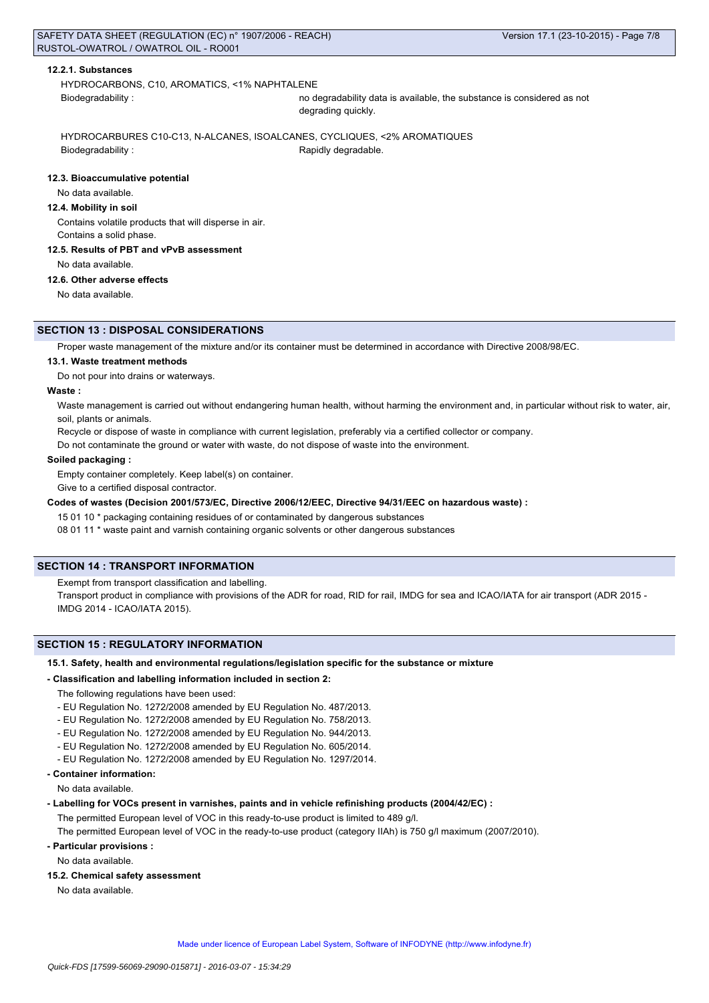### **12.2.1. Substances**

HYDROCARBONS, C10, AROMATICS, <1% NAPHTALENE Biodegradability : no degradability data is available, the substance is considered as not

degrading quickly.

HYDROCARBURES C10-C13, N-ALCANES, ISOALCANES, CYCLIQUES, <2% AROMATIQUES Biodegradability : The Contract of the Rapidly degradable.

### **12.3. Bioaccumulative potential**

# No data available.

**12.4. Mobility in soil**

Contains volatile products that will disperse in air. Contains a solid phase.

**12.5. Results of PBT and vPvB assessment**

No data available.

# **12.6. Other adverse effects**

No data available.

### **SECTION 13 : DISPOSAL CONSIDERATIONS**

Proper waste management of the mixture and/or its container must be determined in accordance with Directive 2008/98/EC.

### **13.1. Waste treatment methods**

Do not pour into drains or waterways.

### **Waste :**

Waste management is carried out without endangering human health, without harming the environment and, in particular without risk to water, air, soil, plants or animals.

Recycle or dispose of waste in compliance with current legislation, preferably via a certified collector or company.

Do not contaminate the ground or water with waste, do not dispose of waste into the environment.

### **Soiled packaging :**

Empty container completely. Keep label(s) on container.

Give to a certified disposal contractor.

**Codes of wastes (Decision 2001/573/EC, Directive 2006/12/EEC, Directive 94/31/EEC on hazardous waste) :**

15 01 10 \* packaging containing residues of or contaminated by dangerous substances

08 01 11 \* waste paint and varnish containing organic solvents or other dangerous substances

### **SECTION 14 : TRANSPORT INFORMATION**

Exempt from transport classification and labelling.

Transport product in compliance with provisions of the ADR for road, RID for rail, IMDG for sea and ICAO/IATA for air transport (ADR 2015 - IMDG 2014 - ICAO/IATA 2015).

### **SECTION 15 : REGULATORY INFORMATION**

### **15.1. Safety, health and environmental regulations/legislation specific for the substance or mixture**

#### **- Classification and labelling information included in section 2:**

The following regulations have been used:

- EU Regulation No. 1272/2008 amended by EU Regulation No. 487/2013.
- EU Regulation No. 1272/2008 amended by EU Regulation No. 758/2013.
- EU Regulation No. 1272/2008 amended by EU Regulation No. 944/2013.
- EU Regulation No. 1272/2008 amended by EU Regulation No. 605/2014.
- EU Regulation No. 1272/2008 amended by EU Regulation No. 1297/2014.
- **Container information:**

No data available.

**- Labelling for VOCs present in varnishes, paints and in vehicle refinishing products (2004/42/EC) :**

The permitted European level of VOC in this ready-to-use product is limited to 489 g/l.

The permitted European level of VOC in the ready-to-use product (category IIAh) is 750 g/l maximum (2007/2010).

**- Particular provisions :**

No data available.

**15.2. Chemical safety assessment**

No data available.